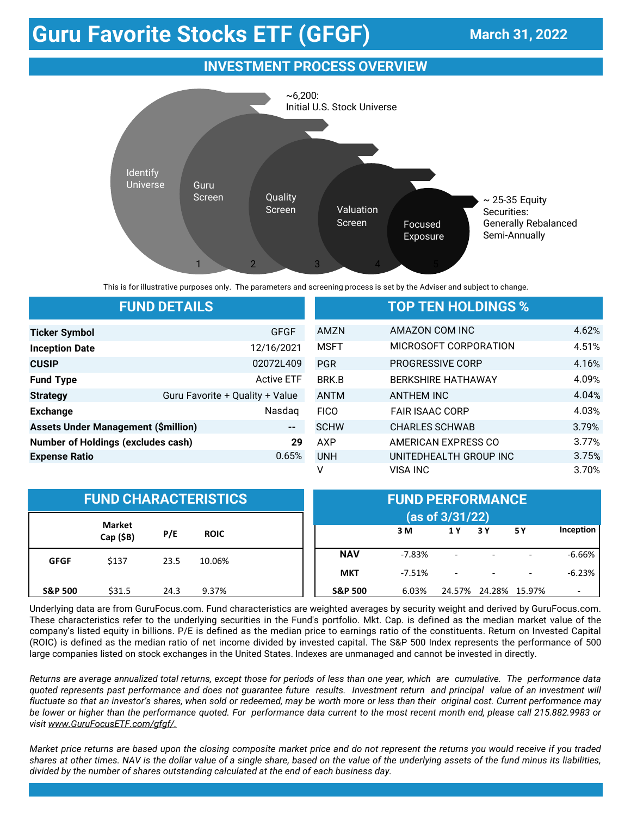## **Guru Favorite Stocks ETF (GFGF)**

## **March 31, 2022**

## **INVESTMENT PROCESS OVERVIEW**



This is for illustrative purposes only. The parameters and screening process is set by the Adviser and subject to change.

|                                                            | <b>FUND DETAILS</b>             | <b>TOP TEN HOLDINGS %</b> |                           |       |  |  |
|------------------------------------------------------------|---------------------------------|---------------------------|---------------------------|-------|--|--|
| <b>Ticker Symbol</b>                                       | <b>GFGF</b>                     | AMZN                      | AMAZON COM INC            | 4.62% |  |  |
| <b>Inception Date</b>                                      | 12/16/2021                      | <b>MSFT</b>               | MICROSOFT CORPORATION     | 4.51% |  |  |
| <b>CUSIP</b>                                               | 02072L409                       | <b>PGR</b>                | <b>PROGRESSIVE CORP</b>   | 4.16% |  |  |
| <b>Fund Type</b>                                           | <b>Active ETF</b>               | BRK.B                     | <b>BERKSHIRE HATHAWAY</b> | 4.09% |  |  |
| <b>Strategy</b>                                            | Guru Favorite + Quality + Value | <b>ANTM</b>               | <b>ANTHEM INC</b>         | 4.04% |  |  |
| <b>Exchange</b>                                            | Nasdag                          | <b>FICO</b>               | <b>FAIR ISAAC CORP</b>    | 4.03% |  |  |
| <b>Assets Under Management (\$million)</b><br>$\mathbf{H}$ |                                 |                           | <b>CHARLES SCHWAB</b>     | 3.79% |  |  |
| <b>Number of Holdings (excludes cash)</b><br>29            |                                 | AXP                       | AMERICAN EXPRESS CO       | 3.77% |  |  |
| <b>Expense Ratio</b>                                       | 0.65%                           | <b>UNH</b>                | UNITEDHEALTH GROUP INC    | 3.75% |  |  |
|                                                            |                                 | ٧                         | <b>VISA INC</b>           | 3.70% |  |  |

| <b>FUND CHARACTERISTICS</b> |                            |      |             |                    | <b>FUND PERFORMANCE</b> |                          |     |                          |           |  |
|-----------------------------|----------------------------|------|-------------|--------------------|-------------------------|--------------------------|-----|--------------------------|-----------|--|
|                             |                            |      |             |                    | (as of 3/31/22)         |                          |     |                          |           |  |
|                             | <b>Market</b><br>Cap (\$B) | P/E  | <b>ROIC</b> |                    | 3 M                     | 1 Y                      | 3 Y | 5 Y                      | Inception |  |
| <b>GFGF</b>                 | \$137                      | 23.5 | 10.06%      | <b>NAV</b>         | $-7.83%$                | $\overline{\phantom{a}}$ |     | $\overline{\phantom{a}}$ | $-6.66%$  |  |
|                             |                            |      |             | <b>MKT</b>         | $-7.51\%$               | $\overline{\phantom{0}}$ |     |                          | $-6.23%$  |  |
| <b>S&amp;P 500</b>          | \$31.5                     | 24.3 | 9.37%       | <b>S&amp;P 500</b> | 6.03%                   | 24.57%                   |     | 24.28% 15.97%            |           |  |

Underlying data are from GuruFocus.com. Fund characteristics are weighted averages by security weight and derived by GuruFocus.com. These characteristics refer to the underlying securities in the Fund's portfolio. Mkt. Cap. is defined as the median market value of the company's listed equity in billions. P/E is defined as the median price to earnings ratio of the constituents. Return on Invested Capital (ROIC) is defined as the median ratio of net income divided by invested capital. The S&P 500 Index represents the performance of 500 large companies listed on stock exchanges in the United States. Indexes are unmanaged and cannot be invested in directly.

Returns are average annualized total returns, except those for periods of less than one year, which are cumulative. The performance data quoted represents past performance and does not guarantee future results. Investment return and principal value of an investment will fluctuate so that an investor's shares, when sold or redeemed, may be worth more or less than their original cost. Current performance may be lower or higher than the performance quoted. For performance data current to the most recent month end, please call 215.882.9983 or *visit [www.GuruFocusETF.com/gfgf/.](http://www.AlphaArchitect.com/funds)*

Market price returns are based upon the closing composite market price and do not represent the returns you would receive if you traded shares at other times. NAV is the dollar value of a single share, based on the value of the underlying assets of the fund minus its liabilities, *divided by the number of shares outstanding calculated at the end of each business day.*